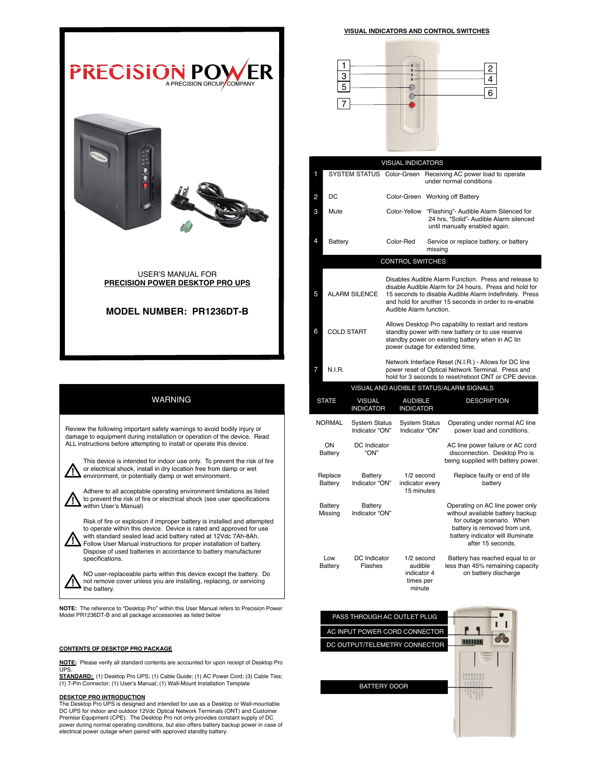

USER'S MANUAL FOR PRECISION POWER DESKTOP PRO UPS

# MODEL NUMBER: PR1236DT-B

# WARNING

 Review the following important safety warnings to avoid bodily injury or damage to equipment during installation or operation of the device. Read ALL instructions before attempting to install or operate this device.

This device is intended for indoor use only. To prevent the risk of fire or electrical shock, install in dry location free from damp or wet environment, or potentially damp or wet environment.

Adhere to all acceptable operating environment limitations as listed to prevent the risk of fire or electrical shock (see user specifications within User's Manual)

Risk of fire or explosion if improper battery is installed and attempted to operate within this device. Device is rated and approved for use with standard sealed lead acid battery rated at 12Vdc 7Ah-8Ah. Follow User Manual instructions for proper installation of battery. Dispose of used batteries in accordance to battery manufacturer specifications.

NO user-replaceable parts within this device except the battery. Do not remove cover unless you are installing, replacing, or servicing the battery.

NOTE: The reference to "Desktop Pro" within this User Manual refers to Precision Power Model PR1236DT-B and all package accessories as listed below

## CONTENTS OF DESKTOP PRO PACKAGE

NOTE: Please verify all standard contents are accounted for upon receipt of Desktop Pro **UPS** 

STANDARD: (1) Desktop Pro UPS; (1) Cable Guide; (1) AC Power Cord; (3) Cable Ties; (1) 7-Pin Connector; (1) User's Manual; (1) Wall-Mount Installation Template

**DESKTOP PRO INTRODUCTION**<br>The Desktop Pro UPS is designed and intended for use as a Desktop or Wall-mountable<br>DC UPS for indoor and outdoor 12Vdc Optical Network Terminals (ONT) and Customer Premise Equipment (CPE). The Desktop Pro not only provides constant supply of DC power during normal operating conditions, but also offers battery backup power in case of electrical power outage when paired with approved standby battery.

### VISUAL INDICATORS AND CONTROL SWITCHES



|                                         |                      |                                        | <b>VISUAL INDICATORS</b>                                                                                                                                                                                                                                       |                                                             |                                                                                                                                                                                             |  |  |
|-----------------------------------------|----------------------|----------------------------------------|----------------------------------------------------------------------------------------------------------------------------------------------------------------------------------------------------------------------------------------------------------------|-------------------------------------------------------------|---------------------------------------------------------------------------------------------------------------------------------------------------------------------------------------------|--|--|
| 1                                       |                      |                                        |                                                                                                                                                                                                                                                                |                                                             | SYSTEM STATUS Color-Green Receiving AC power load to operate<br>under normal conditions                                                                                                     |  |  |
| 2                                       | DC                   |                                        | Color-Green Working off Battery                                                                                                                                                                                                                                |                                                             |                                                                                                                                                                                             |  |  |
| 3                                       | Mute                 |                                        | Color-Yellow                                                                                                                                                                                                                                                   |                                                             | "Flashing"- Audible Alarm Silenced for<br>24 hrs, "Solid"- Audible Alarm silenced<br>until manually enabled again.                                                                          |  |  |
| 4                                       | <b>Battery</b>       |                                        | Color-Red                                                                                                                                                                                                                                                      | Service or replace battery, or battery<br>missina           |                                                                                                                                                                                             |  |  |
| <b>CONTROL SWITCHES</b>                 |                      |                                        |                                                                                                                                                                                                                                                                |                                                             |                                                                                                                                                                                             |  |  |
| 5                                       | <b>ALARM SILENCE</b> |                                        | Disables Audible Alarm Function. Press and release to<br>disable Audible Alarm for 24 hours. Press and hold for<br>15 seconds to disable Audible Alarm indefinitely. Press<br>and hold for another 15 seconds in order to re-enable<br>Audible Alarm function. |                                                             |                                                                                                                                                                                             |  |  |
| 6                                       | <b>COLD START</b>    |                                        | Allows Desktop Pro capability to restart and restore<br>standby power with new battery or to use reserve<br>standby power on existing battery when in AC lin<br>power outage for extended time.                                                                |                                                             |                                                                                                                                                                                             |  |  |
| 7                                       | <b>N.I.R.</b>        |                                        | Network Interface Reset (N.I.R.) - Allows for DC line<br>power reset of Optical Network Terminal. Press and<br>hold for 3 seconds to reset/reboot ONT or CPE device.                                                                                           |                                                             |                                                                                                                                                                                             |  |  |
| VISUAL AND AUDIBLE STATUS/ALARM SIGNALS |                      |                                        |                                                                                                                                                                                                                                                                |                                                             |                                                                                                                                                                                             |  |  |
| <b>STATE</b>                            |                      | <b>VISUAL</b><br><b>INDICATOR</b>      | <b>AUDIBLE</b><br><b>INDICATOR</b>                                                                                                                                                                                                                             |                                                             | <b>DESCRIPTION</b>                                                                                                                                                                          |  |  |
| <b>NORMAL</b>                           |                      | <b>System Status</b><br>Indicator "ON" | <b>System Status</b><br>Indicator "ON"                                                                                                                                                                                                                         |                                                             | Operating under normal AC line<br>power load and conditions.                                                                                                                                |  |  |
| ON<br><b>Battery</b>                    |                      | DC Indicator<br>"ON"                   |                                                                                                                                                                                                                                                                |                                                             | AC line power failure or AC cord<br>disconnection. Desktop Pro is<br>being supplied with battery power.                                                                                     |  |  |
| Replace<br>Battery                      |                      | Battery<br>Indicator "ON"              | 1/2 second<br>indicator every<br>15 minutes                                                                                                                                                                                                                    |                                                             | Replace faulty or end of life<br>battery                                                                                                                                                    |  |  |
| <b>Battery</b><br>Missing               |                      | Battery<br>Indicator "ON"              |                                                                                                                                                                                                                                                                |                                                             | Operating on AC line power only<br>without available battery backup<br>for outage scenario. When<br>battery is removed from unit,<br>battery indicator will illuminate<br>after 15 seconds. |  |  |
| Low<br><b>Battery</b>                   |                      | DC Indicator<br>Flashes                |                                                                                                                                                                                                                                                                | 1/2 second<br>audible<br>indicator 4<br>times per<br>minute | Battery has reached equal to or<br>less than 45% remaining capacity<br>on battery discharge                                                                                                 |  |  |



BATTERY DOOR

P